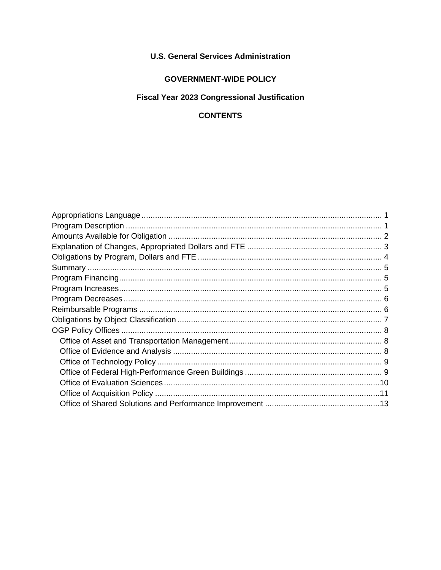## **U.S. General Services Administration**

### **GOVERNMENT-WIDE POLICY**

# **Fiscal Year 2023 Congressional Justification**

## **CONTENTS**

<span id="page-0-0"></span>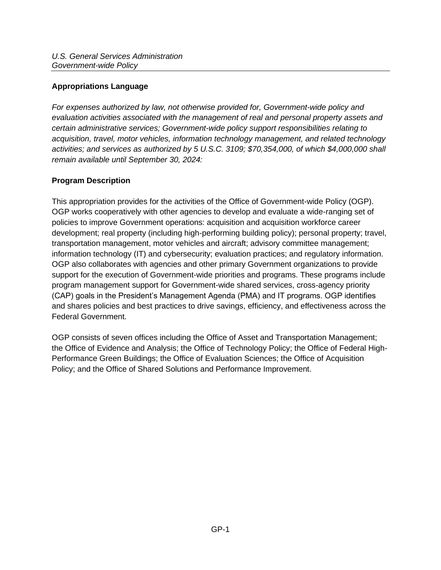## **Appropriations Language**

*For expenses authorized by law, not otherwise provided for, Government-wide policy and evaluation activities associated with the management of real and personal property assets and certain administrative services; Government-wide policy support responsibilities relating to acquisition, travel, motor vehicles, information technology management, and related technology activities; and services as authorized by 5 U.S.C. 3109; \$70,354,000, of which \$4,000,000 shall remain available until September 30, 2024:* 

## <span id="page-1-0"></span>**Program Description**

This appropriation provides for the activities of the Office of Government-wide Policy (OGP). OGP works cooperatively with other agencies to develop and evaluate a wide-ranging set of policies to improve Government operations: acquisition and acquisition workforce career development; real property (including high-performing building policy); personal property; travel, transportation management, motor vehicles and aircraft; advisory committee management; information technology (IT) and cybersecurity; evaluation practices; and regulatory information. OGP also collaborates with agencies and other primary Government organizations to provide support for the execution of Government-wide priorities and programs. These programs include program management support for Government-wide shared services, cross-agency priority (CAP) goals in the President's Management Agenda (PMA) and IT programs. OGP identifies and shares policies and best practices to drive savings, efficiency, and effectiveness across the Federal Government.

OGP consists of seven offices including the Office of Asset and Transportation Management; the Office of Evidence and Analysis; the Office of Technology Policy; the Office of Federal High-Performance Green Buildings; the Office of Evaluation Sciences; the Office of Acquisition Policy; and the Office of Shared Solutions and Performance Improvement.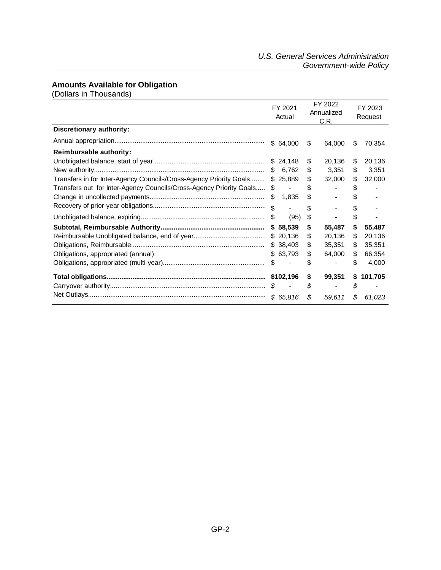### <span id="page-2-0"></span>**Amounts Available for Obligation**

(Dollars in Thousands)

|                                                                        | FY 2021<br>Actual | FY 2022<br>Annualized<br>C.R. |        | FY 2023<br>Request |         |
|------------------------------------------------------------------------|-------------------|-------------------------------|--------|--------------------|---------|
| <b>Discretionary authority:</b>                                        |                   |                               |        |                    |         |
|                                                                        | \$64,000          | \$                            | 64,000 | S                  | 70,354  |
| <b>Reimbursable authority:</b>                                         |                   |                               |        |                    |         |
|                                                                        | \$24,148          | \$                            | 20,136 | \$                 | 20,136  |
|                                                                        | 6,762<br>S        | \$                            | 3,351  | \$                 | 3,351   |
| Transfers in for Inter-Agency Councils/Cross-Agency Priority Goals     | \$25,889          | \$                            | 32,000 | S                  | 32,000  |
| Transfers out for Inter-Agency Councils/Cross-Agency Priority Goals \$ | $\blacksquare$    | \$                            |        | \$                 |         |
|                                                                        | 1,835<br>\$       | \$                            |        | \$                 |         |
|                                                                        | $\mathcal{L}$     | \$                            |        | S                  |         |
|                                                                        | S<br>(95)         | \$                            |        | \$                 |         |
|                                                                        | 58,539<br>\$      | \$                            | 55,487 | \$                 | 55,487  |
|                                                                        | \$20,136          | \$                            | 20,136 | \$                 | 20,136  |
|                                                                        | \$38,403          | \$                            | 35,351 | \$                 | 35,351  |
| Obligations, appropriated (annual)                                     | \$63,793          | \$                            | 64,000 | \$                 | 66,354  |
|                                                                        | \$                | \$                            |        | \$                 | 4,000   |
|                                                                        |                   | \$                            | 99,351 | \$                 | 101,705 |
|                                                                        | S.                | \$                            |        | \$                 |         |
|                                                                        | \$65,816          | \$                            | 59,611 | \$                 | 61,023  |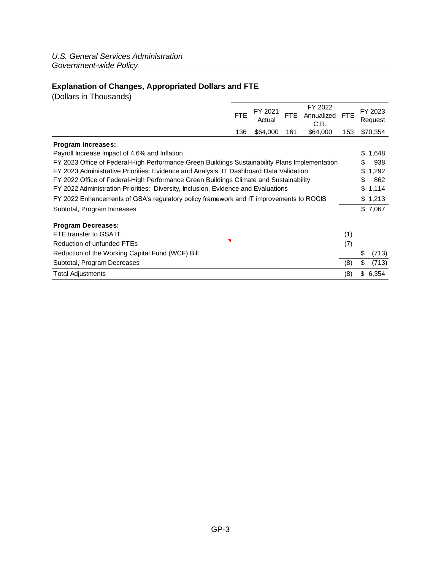## <span id="page-3-0"></span>**Explanation of Changes, Appropriated Dollars and FTE**

(Dollars in Thousands)

|                                                                                                | <b>FTE</b> | FY 2021<br>Actual | FTE. | FY 2022<br>Annualized<br>C.R. | <b>FTE</b> |    | FY 2023<br>Request |
|------------------------------------------------------------------------------------------------|------------|-------------------|------|-------------------------------|------------|----|--------------------|
|                                                                                                | 136        | \$64,000          | 161  | \$64,000                      | 153        |    | \$70,354           |
| <b>Program Increases:</b>                                                                      |            |                   |      |                               |            |    |                    |
| Payroll Increase Impact of 4.6% and Inflation                                                  |            |                   |      |                               |            | \$ | 1,648              |
| FY 2023 Office of Federal-High Performance Green Buildings Sustainability Plans Implementation |            |                   |      |                               |            |    | 938                |
| FY 2023 Administrative Priorities: Evidence and Analysis, IT Dashboard Data Validation         |            |                   |      |                               |            |    | 1,292              |
| FY 2022 Office of Federal-High Performance Green Buildings Climate and Sustainability          |            |                   |      |                               |            |    | 862                |
| FY 2022 Administration Priorities: Diversity, Inclusion, Evidence and Evaluations              |            |                   |      |                               |            |    | \$1,114            |
| FY 2022 Enhancements of GSA's regulatory policy framework and IT improvements to ROCIS         |            |                   |      |                               |            |    | \$1,213            |
| Subtotal, Program Increases                                                                    |            |                   |      |                               |            |    | \$7,067            |
| <b>Program Decreases:</b>                                                                      |            |                   |      |                               |            |    |                    |
| FTE transfer to GSA IT                                                                         |            |                   |      |                               | (1)        |    |                    |
| Reduction of unfunded FTEs                                                                     |            |                   |      |                               | (7)        |    |                    |
| Reduction of the Working Capital Fund (WCF) Bill                                               |            |                   |      |                               |            | \$ | (713)              |
| Subtotal, Program Decreases                                                                    |            |                   |      |                               | (8)        | \$ | (713)              |
| <b>Total Adjustments</b>                                                                       |            |                   |      |                               | (8)        |    | \$6,354            |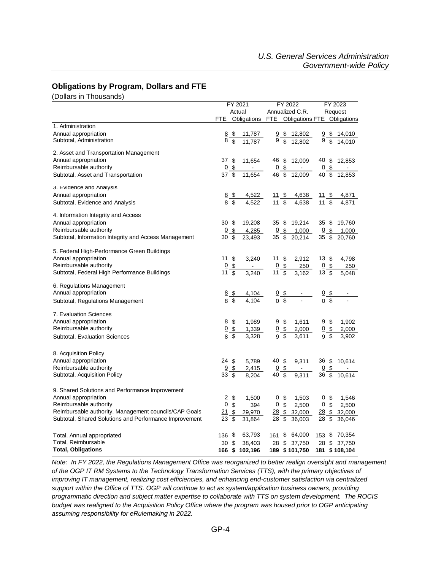#### <span id="page-4-0"></span>**Obligations by Program, Dollars and FTE**

(Dollars in Thousands)

|                                                        | FY 2021         |                           | FY 2022                                     |                 |                           | FY 2023                               |                |                           |                                                          |
|--------------------------------------------------------|-----------------|---------------------------|---------------------------------------------|-----------------|---------------------------|---------------------------------------|----------------|---------------------------|----------------------------------------------------------|
|                                                        | Actual          |                           | Annualized C.R.                             |                 |                           | Request                               |                |                           |                                                          |
|                                                        | <b>FTE</b>      |                           | Obligations FTE Obligations FTE Obligations |                 |                           |                                       |                |                           |                                                          |
| 1. Administration                                      |                 |                           |                                             |                 |                           |                                       |                |                           |                                                          |
| Annual appropriation                                   | $\frac{8}{8}$   | \$                        | 11,787                                      |                 |                           | $\frac{9}{9}$ $\frac{12,802}{12,802}$ |                |                           | $\frac{9}{9}$ $\frac{14,010}{9}$ $\frac{14,010}{14,010}$ |
| Subtotal, Administration                               |                 |                           | 11.787                                      |                 |                           |                                       |                |                           |                                                          |
| 2. Asset and Transportation Management                 |                 |                           |                                             |                 |                           |                                       |                |                           |                                                          |
| Annual appropriation                                   | 37 \$           |                           | 11,654                                      | 46              | \$                        | 12,009                                | 40 \$          |                           | 12,853                                                   |
| Reimbursable authority                                 | $\overline{0}$  | \$                        |                                             | $\overline{0}$  | \$                        | ÷,                                    | 0              | \$                        |                                                          |
| Subtotal, Asset and Transportation                     | 37              | \$                        | 11,654                                      | 46              | \$                        | 12,009                                | 40 \$          |                           | 12,853                                                   |
|                                                        |                 |                           |                                             |                 |                           |                                       |                |                           |                                                          |
| 3. Evidence and Analysis                               |                 |                           |                                             |                 |                           |                                       |                |                           |                                                          |
| Annual appropriation                                   | 8 S             |                           | 4,522                                       | <u> 11 \$</u>   |                           | 4,638                                 | <u>11 \$</u>   |                           | <u>4,871</u>                                             |
| Subtotal, Evidence and Analysis                        | $\mathbf{8}$    | \$                        | 4.522                                       | 11              | $\overline{\mathbf{s}}$   | 4,638                                 | 11             | $\overline{\mathbf{s}}$   | 4,871                                                    |
| 4. Information Integrity and Access                    |                 |                           |                                             |                 |                           |                                       |                |                           |                                                          |
| Annual appropriation                                   | 30 <sup>5</sup> |                           | 19,208                                      | 35              | \$                        | 19,214                                | 35\$           |                           | 19,760                                                   |
| Reimbursable authority                                 | $\overline{0}$  | \$                        | 4,285                                       | <u>0</u>        | \$                        | 1,000                                 | 0              | \$                        | 1,000                                                    |
| Subtotal, Information Integrity and Access Management  | 30 \$           |                           | 23,493                                      | 35              | \$                        | 20,214                                | 35 \$          |                           | 20,760                                                   |
|                                                        |                 |                           |                                             |                 |                           |                                       |                |                           |                                                          |
| 5. Federal High-Performance Green Buildings            |                 |                           |                                             |                 |                           |                                       |                |                           |                                                          |
| Annual appropriation                                   | 11              | \$                        | 3,240                                       | 11 \$           |                           | 2,912                                 | 13 \$          |                           | 4,798                                                    |
| Reimbursable authority                                 | $\overline{0}$  | $\boldsymbol{\mathsf{S}}$ |                                             | $\underline{0}$ | $\frac{1}{2}$             | 250                                   | 0 <sup>5</sup> |                           | 250                                                      |
| Subtotal, Federal High Performance Buildings           | 11              | \$                        | 3,240                                       | 11              | \$                        | 3,162                                 | 13S            |                           | 5,048                                                    |
| 6. Regulations Management                              |                 |                           |                                             |                 |                           |                                       |                |                           |                                                          |
| Annual appropriation                                   | 8 <sub>8</sub>  |                           | 4,104                                       |                 |                           |                                       | $0$ \$         |                           |                                                          |
| Subtotal, Regulations Management                       | 8               | \$                        | 4,104                                       |                 | $\frac{0}{0}$ \$          |                                       |                |                           |                                                          |
|                                                        |                 |                           |                                             |                 |                           |                                       |                |                           |                                                          |
| 7. Evaluation Sciences                                 |                 |                           |                                             |                 |                           |                                       |                |                           |                                                          |
| Annual appropriation                                   | 8               | -\$                       | 1,989                                       |                 | 9 <sup>°</sup>            | 1,611                                 |                | 9\$                       | 1,902                                                    |
| Reimbursable authority                                 | 0 <sup>6</sup>  |                           | 1,339                                       |                 | $0$ \$                    | 2,000                                 |                | $0$ \$                    | 2,000                                                    |
| Subtotal, Evaluation Sciences                          | 8 \$            |                           | 3,328                                       | 9               | \$                        | 3,611                                 |                | 9 \$                      | 3,902                                                    |
|                                                        |                 |                           |                                             |                 |                           |                                       |                |                           |                                                          |
| 8. Acquisition Policy                                  |                 |                           |                                             |                 |                           |                                       |                |                           |                                                          |
| Annual appropriation                                   | 24 \$           |                           | 5,789                                       | 40              | $\boldsymbol{\mathsf{S}}$ | 9,311                                 | 36 \$          |                           | 10,614                                                   |
| Reimbursable authority                                 | 9               | \$                        | 2,415                                       | $\overline{0}$  | $\frac{1}{2}$             |                                       | $\overline{0}$ | \$                        |                                                          |
| Subtotal, Acquisition Policy                           | 33              | \$                        | 8,204                                       | 40              | \$                        | 9,311                                 | 36             | $\overline{\mathfrak{s}}$ | 10,614                                                   |
|                                                        |                 |                           |                                             |                 |                           |                                       |                |                           |                                                          |
| 9. Shared Solutions and Performance Improvement        | 2               |                           |                                             |                 |                           |                                       |                |                           |                                                          |
| Annual appropriation<br>Reimbursable authority         | 0               | \$<br>\$                  | 1,500<br>394                                | 0<br>0          | \$<br>\$                  | 1,503<br>2,500                        |                | 0\$<br>0 <sup>6</sup>     | 1,546<br>2,500                                           |
| Reimbursable authority, Management councils/CAP Goals  | 21              | \$                        |                                             | <u>28</u>       | \$                        | 32,000                                | $28 \,$ \$     |                           | 32,000                                                   |
| Subtotal, Shared Solutions and Performance Improvement | 23              | \$                        | 29,970<br>31,864                            | 28              | \$                        | 36,003                                | 28             | \$                        | 36,046                                                   |
|                                                        |                 |                           |                                             |                 |                           |                                       |                |                           |                                                          |
| Total, Annual appropriated                             | $136$ \$        |                           | 63,793                                      | 161             |                           | \$64,000                              |                |                           | 153 \$ 70,354                                            |
| Total, Reimbursable                                    | 30 <sup>5</sup> |                           | 38,403                                      | 28              |                           | \$37,750                              |                |                           | 28 \$ 37,750                                             |
| <b>Total, Obligations</b>                              | 166 \$          |                           | 102,196                                     | 189             |                           | \$101,750                             |                |                           | 181 \$108,104                                            |

*Note: In FY 2022, the Regulations Management Office was reorganized to better realign oversight and management of the OGP IT RM Systems to the Technology Transformation Services (TTS), with the primary objectives of improving IT management, realizing cost efficiencies, and enhancing end-customer satisfaction via centralized support within the Office of TTS. OGP will continue to act as system/application business owners, providing programmatic direction and subject matter expertise to collaborate with TTS on system development. The ROCIS budget was realigned to the Acquisition Policy Office where the program was housed prior to OGP anticipating assuming responsibility for eRulemaking in 2022.*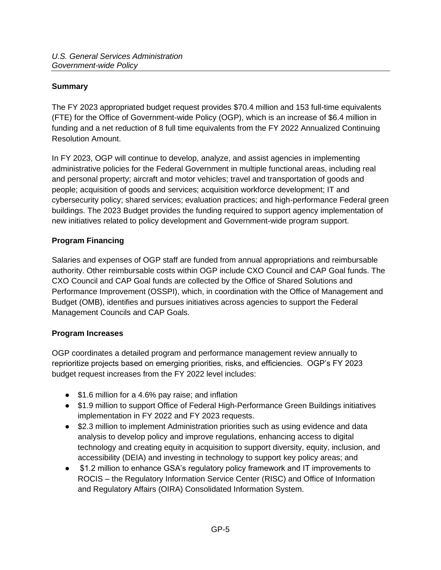## <span id="page-5-0"></span>**Summary**

The FY 2023 appropriated budget request provides \$70.4 million and 153 full-time equivalents (FTE) for the Office of Government-wide Policy (OGP), which is an increase of \$6.4 million in funding and a net reduction of 8 full time equivalents from the FY 2022 Annualized Continuing Resolution Amount.

In FY 2023, OGP will continue to develop, analyze, and assist agencies in implementing administrative policies for the Federal Government in multiple functional areas, including real and personal property; aircraft and motor vehicles; travel and transportation of goods and people; acquisition of goods and services; acquisition workforce development; IT and cybersecurity policy; shared services; evaluation practices; and high-performance Federal green buildings. The 2023 Budget provides the funding required to support agency implementation of new initiatives related to policy development and Government-wide program support.

### <span id="page-5-1"></span>**Program Financing**

Salaries and expenses of OGP staff are funded from annual appropriations and reimbursable authority. Other reimbursable costs within OGP include CXO Council and CAP Goal funds. The CXO Council and CAP Goal funds are collected by the Office of Shared Solutions and Performance Improvement (OSSPI), which, in coordination with the Office of Management and Budget (OMB), identifies and pursues initiatives across agencies to support the Federal Management Councils and CAP Goals.

### <span id="page-5-2"></span>**Program Increases**

OGP coordinates a detailed program and performance management review annually to reprioritize projects based on emerging priorities, risks, and efficiencies. OGP's FY 2023 budget request increases from the FY 2022 level includes:

- \$1.6 million for a 4.6% pay raise; and inflation
- \$1.9 million to support Office of Federal High-Performance Green Buildings initiatives implementation in FY 2022 and FY 2023 requests.
- \$2.3 million to implement Administration priorities such as using evidence and data analysis to develop policy and improve regulations, enhancing access to digital technology and creating equity in acquisition to support diversity, equity, inclusion, and accessibility (DEIA) and investing in technology to support key policy areas; and
- \$1.2 million to enhance GSA's regulatory policy framework and IT improvements to ROCIS – the Regulatory Information Service Center (RISC) and Office of Information and Regulatory Affairs (OIRA) Consolidated Information System.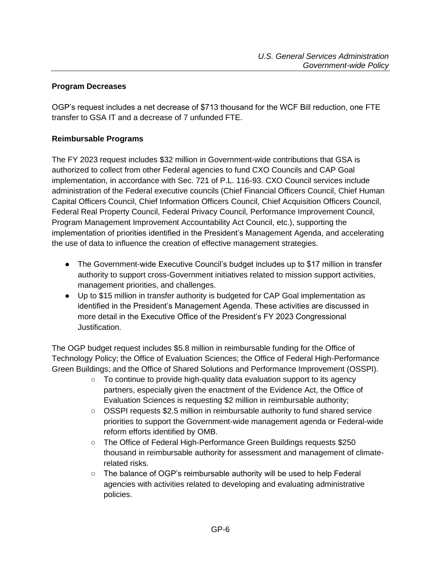### <span id="page-6-0"></span>**Program Decreases**

OGP's request includes a net decrease of \$713 thousand for the WCF Bill reduction, one FTE transfer to GSA IT and a decrease of 7 unfunded FTE.

## <span id="page-6-1"></span>**Reimbursable Programs**

The FY 2023 request includes \$32 million in Government-wide contributions that GSA is authorized to collect from other Federal agencies to fund CXO Councils and CAP Goal implementation, in accordance with Sec. 721 of P.L. 116-93. CXO Council services include administration of the Federal executive councils (Chief Financial Officers Council, Chief Human Capital Officers Council, Chief Information Officers Council, Chief Acquisition Officers Council, Federal Real Property Council, Federal Privacy Council, Performance Improvement Council, Program Management Improvement Accountability Act Council, etc.), supporting the implementation of priorities identified in the President's Management Agenda, and accelerating the use of data to influence the creation of effective management strategies.

- The Government-wide Executive Council's budget includes up to \$17 million in transfer authority to support cross-Government initiatives related to mission support activities, management priorities, and challenges.
- Up to \$15 million in transfer authority is budgeted for CAP Goal implementation as identified in the President's Management Agenda. These activities are discussed in more detail in the Executive Office of the President's FY 2023 Congressional Justification.

The OGP budget request includes \$5.8 million in reimbursable funding for the Office of Technology Policy; the Office of Evaluation Sciences; the Office of Federal High-Performance Green Buildings; and the Office of Shared Solutions and Performance Improvement (OSSPI).

- To continue to provide high-quality data evaluation support to its agency partners, especially given the enactment of the Evidence Act, the Office of Evaluation Sciences is requesting \$2 million in reimbursable authority;
- OSSPI requests \$2.5 million in reimbursable authority to fund shared service priorities to support the Government-wide management agenda or Federal-wide reform efforts identified by OMB.
- The Office of Federal High-Performance Green Buildings requests \$250 thousand in reimbursable authority for assessment and management of climaterelated risks.
- The balance of OGP's reimbursable authority will be used to help Federal agencies with activities related to developing and evaluating administrative policies.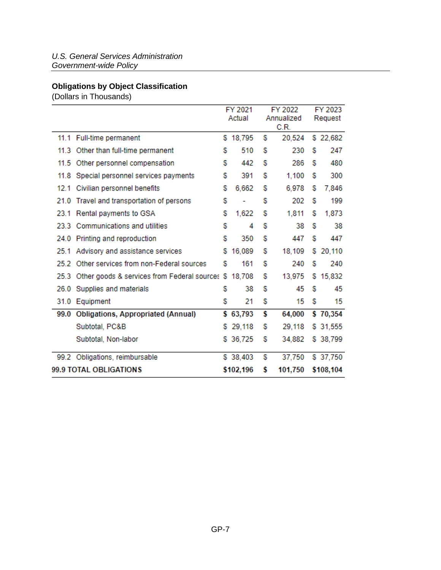# <span id="page-7-0"></span>**Obligations by Object Classification**

(Dollars in Thousands)

|      |                                              | FY 2021<br>Actual |           |   | FY 2022<br>Annualized<br>C.R. | FY 2023<br>Request |           |  |
|------|----------------------------------------------|-------------------|-----------|---|-------------------------------|--------------------|-----------|--|
|      | 11.1 Full-time permanent                     |                   | \$18,795  | S | 20.524                        |                    | \$22,682  |  |
| 11.3 | Other than full-time permanent               | s                 | 510       | s | 230                           | s                  | 247       |  |
| 11.5 | Other personnel compensation                 | S                 | 442       | S | 286                           | s                  | 480       |  |
| 11.8 | Special personnel services payments          | s                 | 391       | S | 1.100                         | s                  | 300       |  |
| 12.1 | Civilian personnel benefits                  | S                 | 6,662     | s | 6,978                         | s                  | 7,846     |  |
| 21.0 | Travel and transportation of persons         | s                 |           | S | 202                           | s                  | 199       |  |
|      | 23.1 Rental payments to GSA                  | S                 | 1,622     | S | 1,811                         | s                  | 1,873     |  |
|      | 23.3 Communications and utilities            | S                 | 4         | S | 38                            | s                  | 38        |  |
|      | 24.0 Printing and reproduction               | s                 | 350       | S | 447                           | s                  | 447       |  |
| 25.1 | Advisory and assistance services             | s.                | 16,089    | s | 18,109                        | s                  | 20,110    |  |
|      | 25.2 Other services from non-Federal sources | s                 | 161       | S | 240                           | s                  | 240       |  |
| 25.3 | Other goods & services from Federal sources  | s                 | 18,708    | s | 13,975                        | s                  | 15,832    |  |
| 26.0 | Supplies and materials                       | S                 | 38        | S | 45                            | s                  | 45        |  |
|      | 31.0 Equipment                               | s                 | 21        | s | 15                            | S                  | 15        |  |
|      | 99.0 Obligations, Appropriated (Annual)      |                   | \$63,793  | S | 64,000                        |                    | \$70,354  |  |
|      | Subtotal, PC&B                               | s.                | 29,118    | s | 29,118                        |                    | \$ 31,555 |  |
|      | Subtotal, Non-labor                          | s                 | 36,725    | S | 34.882                        |                    | \$38,799  |  |
|      | 99.2 Obligations, reimbursable               |                   | \$38,403  | S | 37,750                        |                    | \$37,750  |  |
|      | 99.9 TOTAL OBLIGATIONS                       |                   | \$102,196 | S | 101,750                       |                    | \$108,104 |  |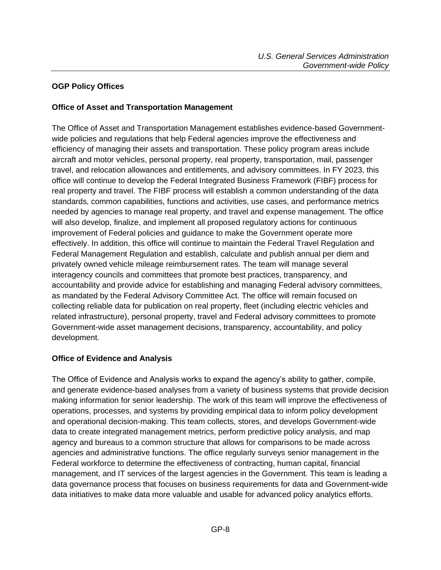## <span id="page-8-0"></span>**OGP Policy Offices**

### <span id="page-8-1"></span>**Office of Asset and Transportation Management**

The Office of Asset and Transportation Management establishes evidence-based Governmentwide policies and regulations that help Federal agencies improve the effectiveness and efficiency of managing their assets and transportation. These policy program areas include aircraft and motor vehicles, personal property, real property, transportation, mail, passenger travel, and relocation allowances and entitlements, and advisory committees. In FY 2023, this office will continue to develop the Federal Integrated Business Framework (FIBF) process for real property and travel. The FIBF process will establish a common understanding of the data standards, common capabilities, functions and activities, use cases, and performance metrics needed by agencies to manage real property, and travel and expense management. The office will also develop, finalize, and implement all proposed regulatory actions for continuous improvement of Federal policies and guidance to make the Government operate more effectively. In addition, this office will continue to maintain the Federal Travel Regulation and Federal Management Regulation and establish, calculate and publish annual per diem and privately owned vehicle mileage reimbursement rates. The team will manage several interagency councils and committees that promote best practices, transparency, and accountability and provide advice for establishing and managing Federal advisory committees, as mandated by the Federal Advisory Committee Act. The office will remain focused on collecting reliable data for publication on real property, fleet (including electric vehicles and related infrastructure), personal property, travel and Federal advisory committees to promote Government-wide asset management decisions, transparency, accountability, and policy development.

### <span id="page-8-2"></span>**Office of Evidence and Analysis**

The Office of Evidence and Analysis works to expand the agency's ability to gather, compile, and generate evidence-based analyses from a variety of business systems that provide decision making information for senior leadership. The work of this team will improve the effectiveness of operations, processes, and systems by providing empirical data to inform policy development and operational decision-making. This team collects, stores, and develops Government-wide data to create integrated management metrics, perform predictive policy analysis, and map agency and bureaus to a common structure that allows for comparisons to be made across agencies and administrative functions. The office regularly surveys senior management in the Federal workforce to determine the effectiveness of contracting, human capital, financial management, and IT services of the largest agencies in the Government. This team is leading a data governance process that focuses on business requirements for data and Government-wide data initiatives to make data more valuable and usable for advanced policy analytics efforts.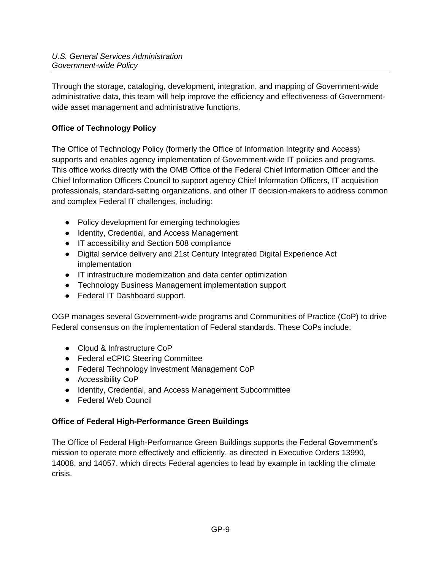Through the storage, cataloging, development, integration, and mapping of Government-wide administrative data, this team will help improve the efficiency and effectiveness of Governmentwide asset management and administrative functions.

# <span id="page-9-0"></span>**Office of Technology Policy**

The Office of Technology Policy (formerly the Office of Information Integrity and Access) supports and enables agency implementation of Government-wide IT policies and programs. This office works directly with the OMB Office of the Federal Chief Information Officer and the Chief Information Officers Council to support agency Chief Information Officers, IT acquisition professionals, standard-setting organizations, and other IT decision-makers to address common and complex Federal IT challenges, including:

- Policy development for emerging technologies
- Identity, Credential, and Access Management
- IT accessibility and Section 508 compliance
- Digital service delivery and 21st Century Integrated Digital Experience Act implementation
- IT infrastructure modernization and data center optimization
- Technology Business Management implementation support
- Federal IT Dashboard support.

OGP manages several Government-wide programs and Communities of Practice (CoP) to drive Federal consensus on the implementation of Federal standards. These CoPs include:

- Cloud & Infrastructure CoP
- Federal eCPIC Steering Committee
- Federal Technology Investment Management CoP
- Accessibility CoP
- Identity, Credential, and Access Management Subcommittee
- Federal Web Council

## <span id="page-9-1"></span>**Office of Federal High-Performance Green Buildings**

The Office of Federal High-Performance Green Buildings supports the Federal Government's mission to operate more effectively and efficiently, as directed in Executive Orders 13990, 14008, and 14057, which directs Federal agencies to lead by example in tackling the climate crisis.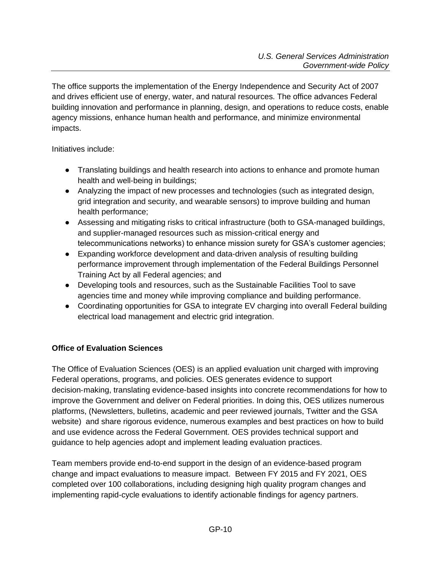The office supports the implementation of the Energy Independence and Security Act of 2007 and drives efficient use of energy, water, and natural resources. The office advances Federal building innovation and performance in planning, design, and operations to reduce costs, enable agency missions, enhance human health and performance, and minimize environmental impacts.

Initiatives include:

- Translating buildings and health research into actions to enhance and promote human health and well-being in buildings;
- Analyzing the impact of new processes and technologies (such as integrated design, grid integration and security, and wearable sensors) to improve building and human health performance;
- Assessing and mitigating risks to critical infrastructure (both to GSA-managed buildings, and supplier-managed resources such as mission-critical energy and telecommunications networks) to enhance mission surety for GSA's customer agencies;
- Expanding workforce development and data-driven analysis of resulting building performance improvement through implementation of the Federal Buildings Personnel Training Act by all Federal agencies; and
- Developing tools and resources, such as the Sustainable Facilities Tool to save agencies time and money while improving compliance and building performance.
- Coordinating opportunities for GSA to integrate EV charging into overall Federal building electrical load management and electric grid integration.

## <span id="page-10-0"></span>**Office of Evaluation Sciences**

The Office of Evaluation Sciences (OES) is an applied evaluation unit charged with improving Federal operations, programs, and policies. OES generates evidence to support decision-making, translating evidence-based insights into concrete recommendations for how to improve the Government and deliver on Federal priorities. In doing this, OES utilizes numerous platforms, (Newsletters, bulletins, academic and peer reviewed journals, Twitter and the GSA website) and share rigorous evidence, numerous examples and best practices on how to build and use evidence across the Federal Government. OES provides technical support and guidance to help agencies adopt and implement leading evaluation practices.

Team members provide end-to-end support in the design of an evidence-based program change and impact evaluations to measure impact. Between FY 2015 and FY 2021, OES completed over 100 collaborations, including designing high quality program changes and implementing rapid-cycle evaluations to identify actionable findings for agency partners.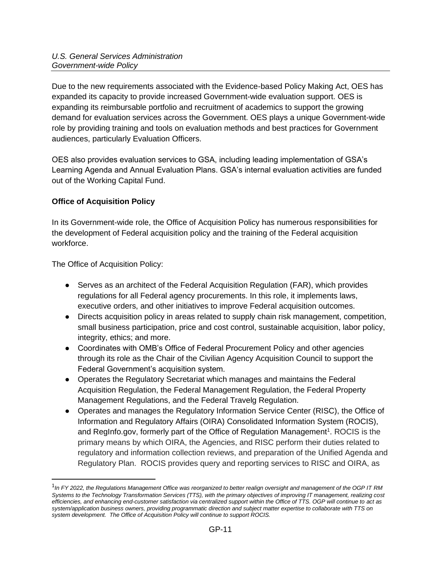Due to the new requirements associated with the Evidence-based Policy Making Act, OES has expanded its capacity to provide increased Government-wide evaluation support. OES is expanding its reimbursable portfolio and recruitment of academics to support the growing demand for evaluation services across the Government. OES plays a unique Government-wide role by providing training and tools on evaluation methods and best practices for Government audiences, particularly Evaluation Officers.

OES also provides evaluation services to GSA, including leading implementation of GSA's Learning Agenda and Annual Evaluation Plans. GSA's internal evaluation activities are funded out of the Working Capital Fund.

## <span id="page-11-0"></span>**Office of Acquisition Policy**

In its Government-wide role, the Office of Acquisition Policy has numerous responsibilities for the development of Federal acquisition policy and the training of the Federal acquisition workforce.

The Office of Acquisition Policy:

- Serves as an architect of the Federal Acquisition Regulation (FAR), which provides regulations for all Federal agency procurements. In this role, it implements laws, executive orders, and other initiatives to improve Federal acquisition outcomes.
- Directs acquisition policy in areas related to supply chain risk management, competition, small business participation, price and cost control, sustainable acquisition, labor policy, integrity, ethics; and more.
- Coordinates with OMB's Office of Federal Procurement Policy and other agencies through its role as the Chair of the Civilian Agency Acquisition Council to support the Federal Government's acquisition system.
- Operates the Regulatory Secretariat which manages and maintains the Federal Acquisition Regulation, the Federal Management Regulation, the Federal Property Management Regulations, and the Federal Travelg Regulation.
- Operates and manages the Regulatory Information Service Center (RISC), the Office of Information and Regulatory Affairs (OIRA) Consolidated Information System (ROCIS), and RegInfo.gov, formerly part of the Office of Regulation Management<sup>1</sup>. ROCIS is the primary means by which OIRA, the Agencies, and RISC perform their duties related to regulatory and information collection reviews, and preparation of the Unified Agenda and Regulatory Plan. ROCIS provides query and reporting services to RISC and OIRA, as

<sup>&</sup>lt;sup>1</sup> In FY 2022, the Regulations Management Office was reorganized to better realign oversight and management of the OGP IT RM *Systems to the Technology Transformation Services (TTS), with the primary objectives of improving IT management, realizing cost efficiencies, and enhancing end-customer satisfaction via centralized support within the Office of TTS. OGP will continue to act as system/application business owners, providing programmatic direction and subject matter expertise to collaborate with TTS on system development. The Office of Acquisition Policy will continue to support ROCIS.*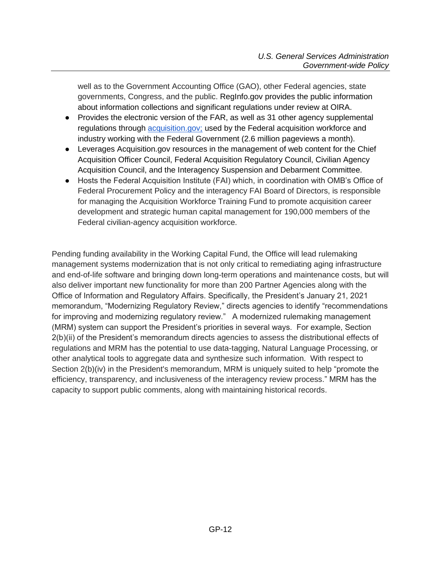well as to the Government Accounting Office (GAO), other Federal agencies, state governments, Congress, and the public. RegInfo.gov provides the public information about information collections and significant regulations under review at OIRA.

- Provides the electronic version of the FAR, as well as 31 other agency supplemental regulations through [acquisition.gov;](http://acquisition.gov/) used by the Federal acquisition workforce and industry working with the Federal Government (2.6 million pageviews a month).
- Leverages Acquisition.gov resources in the management of web content for the Chief Acquisition Officer Council, Federal Acquisition Regulatory Council, Civilian Agency Acquisition Council, and the Interagency Suspension and Debarment Committee.
- Hosts the Federal Acquisition Institute (FAI) which, in coordination with OMB's Office of Federal Procurement Policy and the interagency FAI Board of Directors, is responsible for managing the Acquisition Workforce Training Fund to promote acquisition career development and strategic human capital management for 190,000 members of the Federal civilian-agency acquisition workforce.

Pending funding availability in the Working Capital Fund, the Office will lead rulemaking management systems modernization that is not only critical to remediating aging infrastructure and end-of-life software and bringing down long-term operations and maintenance costs, but will also deliver important new functionality for more than 200 Partner Agencies along with the Office of Information and Regulatory Affairs. Specifically, the President's January 21, 2021 memorandum, "Modernizing Regulatory Review," directs agencies to identify "recommendations for improving and modernizing regulatory review." A modernized rulemaking management (MRM) system can support the President's priorities in several ways. For example, Section 2(b)(ii) of the President's memorandum directs agencies to assess the distributional effects of regulations and MRM has the potential to use data-tagging, Natural Language Processing, or other analytical tools to aggregate data and synthesize such information. With respect to Section 2(b)(iv) in the President's memorandum, MRM is uniquely suited to help "promote the efficiency, transparency, and inclusiveness of the interagency review process." MRM has the capacity to support public comments, along with maintaining historical records.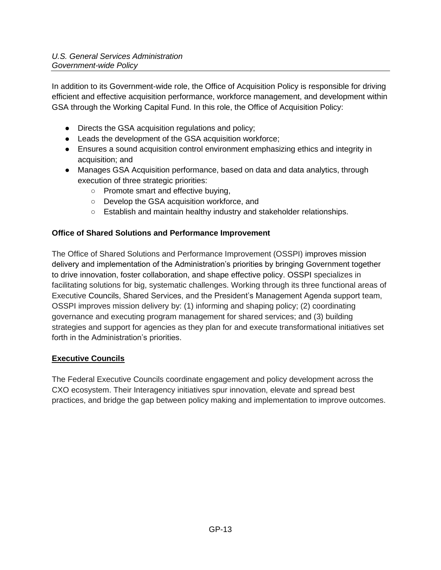In addition to its Government-wide role, the Office of Acquisition Policy is responsible for driving efficient and effective acquisition performance, workforce management, and development within GSA through the Working Capital Fund. In this role, the Office of Acquisition Policy:

- Directs the GSA acquisition regulations and policy;
- Leads the development of the GSA acquisition workforce;
- Ensures a sound acquisition control environment emphasizing ethics and integrity in acquisition; and
- Manages GSA Acquisition performance, based on data and data analytics, through execution of three strategic priorities:
	- Promote smart and effective buying,
	- Develop the GSA acquisition workforce, and
	- Establish and maintain healthy industry and stakeholder relationships.

## <span id="page-13-0"></span>**Office of Shared Solutions and Performance Improvement**

The Office of Shared Solutions and Performance Improvement (OSSPI) improves mission delivery and implementation of the Administration's priorities by bringing Government together to drive innovation, foster collaboration, and shape effective policy. OSSPI specializes in facilitating solutions for big, systematic challenges. Working through its three functional areas of Executive Councils, Shared Services, and the President's Management Agenda support team, OSSPI improves mission delivery by: (1) informing and shaping policy; (2) coordinating governance and executing program management for shared services; and (3) building strategies and support for agencies as they plan for and execute transformational initiatives set forth in the Administration's priorities.

## **Executive Councils**

The Federal Executive Councils coordinate engagement and policy development across the CXO ecosystem. Their Interagency initiatives spur innovation, elevate and spread best practices, and bridge the gap between policy making and implementation to improve outcomes.